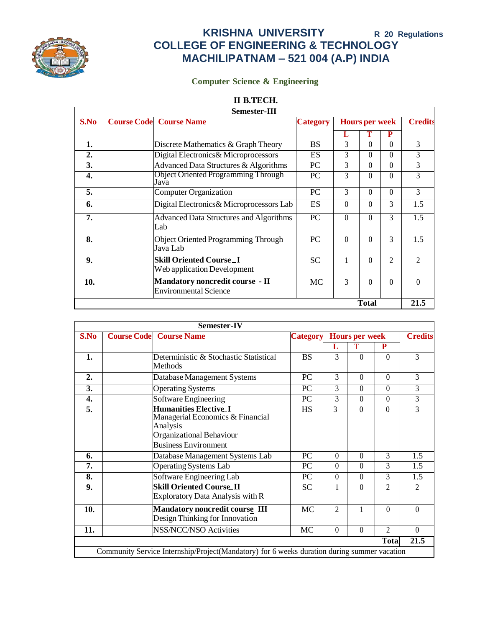

# **Computer Science & Engineering**

|  | II B.TECH. |
|--|------------|
|--|------------|

|                  | Semester-III                                                           |                 |          |                       |                |                |
|------------------|------------------------------------------------------------------------|-----------------|----------|-----------------------|----------------|----------------|
| S.No             | <b>Course Code</b> Course Name                                         | <b>Category</b> |          | <b>Hours per week</b> |                | <b>Credits</b> |
|                  |                                                                        |                 | L        | т                     | P              |                |
| 1.               | Discrete Mathematics & Graph Theory                                    | <b>BS</b>       | 3        | $\theta$              | $\Omega$       | 3              |
| $\overline{2}$ . | Digital Electronics& Microprocessors                                   | ES              | 3        | $\Omega$              | $\Omega$       | 3              |
| 3.               | Advanced Data Structures & Algorithms                                  | <b>PC</b>       | 3        | $\theta$              | $\Omega$       | 3              |
| 4.               | <b>Object Oriented Programming Through</b><br>Java                     | PC.             | 3        | $\Omega$              | $\Omega$       | 3              |
| 5.               | <b>Computer Organization</b>                                           | PC              | 3        | $\theta$              | $\Omega$       | 3              |
| 6.               | Digital Electronics& Microprocessors Lab                               | ES              | $\Omega$ | $\theta$              | 3              | 1.5            |
| 7.               | <b>Advanced Data Structures and Algorithms</b><br>Lab                  | PC              | $\Omega$ | $\theta$              | 3              | 1.5            |
| 8.               | <b>Object Oriented Programming Through</b><br>Java Lab                 | <b>PC</b>       | $\Omega$ | $\theta$              | 3              | 1.5            |
| 9.               | <b>Skill Oriented Course_I</b><br>Web application Development          | <b>SC</b>       |          | $\theta$              | $\overline{2}$ | $\mathfrak{D}$ |
| 10.              | <b>Mandatory noncredit course - II</b><br><b>Environmental Science</b> | <b>MC</b>       | 3        | $\Omega$              | $\Omega$       | $\Omega$       |
|                  |                                                                        |                 |          | <b>Total</b>          |                | 21.5           |

|      | <b>Semester-IV</b>                                                                                                                             |           |                |                       |                |                  |
|------|------------------------------------------------------------------------------------------------------------------------------------------------|-----------|----------------|-----------------------|----------------|------------------|
| S.No | <b>Course Code</b> Course Name                                                                                                                 | Category  |                | <b>Hours per week</b> |                | <b>Credits</b>   |
|      |                                                                                                                                                |           | L              |                       | P              |                  |
| 1.   | Deterministic & Stochastic Statistical<br>Methods                                                                                              | <b>BS</b> | 3              | $\theta$              | $\Omega$       | 3                |
| 2.   | Database Management Systems                                                                                                                    | PC        | 3              | $\theta$              | $\Omega$       | 3                |
| 3.   | <b>Operating Systems</b>                                                                                                                       | <b>PC</b> | 3              | $\theta$              | $\Omega$       | 3                |
| 4.   | Software Engineering                                                                                                                           | PC        | 3              | $\theta$              | $\Omega$       | 3                |
| 5.   | <b>Humanities Elective_I</b><br>Managerial Economics & Financial<br>Analysis<br><b>Organizational Behaviour</b><br><b>Business Environment</b> | <b>HS</b> | 3              | $\Omega$              | $\theta$       | 3                |
| 6.   | Database Management Systems Lab                                                                                                                | PC        | $\Omega$       | $\theta$              | 3              | 1.5              |
| 7.   | <b>Operating Systems Lab</b>                                                                                                                   | PC        | $\theta$       | $\theta$              | 3              | 1.5              |
| 8.   | Software Engineering Lab                                                                                                                       | PC        | $\theta$       | $\theta$              | 3              | $\overline{1.5}$ |
| 9.   | <b>Skill Oriented Course_II</b><br>Exploratory Data Analysis with R                                                                            | SC.       | 1              | $\theta$              | $\mathfrak{D}$ | $\mathcal{L}$    |
| 10.  | <b>Mandatory noncredit course III</b><br>Design Thinking for Innovation                                                                        | MC        | $\overline{2}$ | 1                     | $\Omega$       | $\Omega$         |
| 11.  | <b>NSS/NCC/NSO Activities</b>                                                                                                                  | MC        | $\Omega$       | $\theta$              | $\overline{2}$ | $\Omega$         |
|      |                                                                                                                                                |           |                |                       | Total          | 21.5             |
|      | Community Service Internship/Project(Mandatory) for 6 weeks duration during summer vacation                                                    |           |                |                       |                |                  |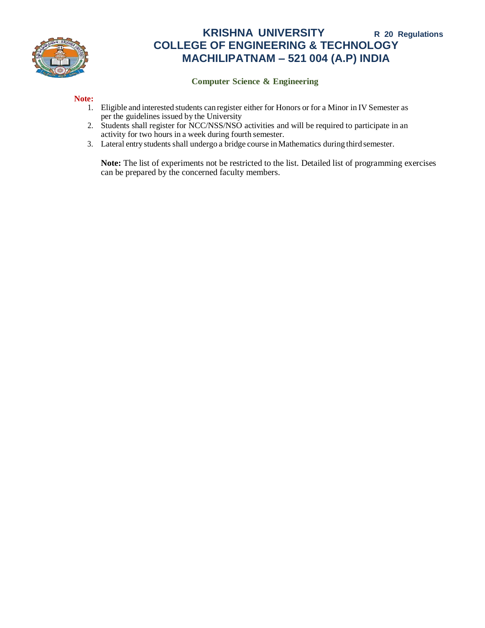

## **Computer Science & Engineering**

### **Note:**

- 1. Eligible and interested students can register either for Honors or for a Minor in IV Semester as per the guidelines issued by the University
- 2. Students shall register for NCC/NSS/NSO activities and will be required to participate in an activity for two hours in a week during fourth semester.
- 3. Lateral entry students shall undergo a bridge course inMathematics during third semester.

**Note:** The list of experiments not be restricted to the list. Detailed list of programming exercises can be prepared by the concerned faculty members.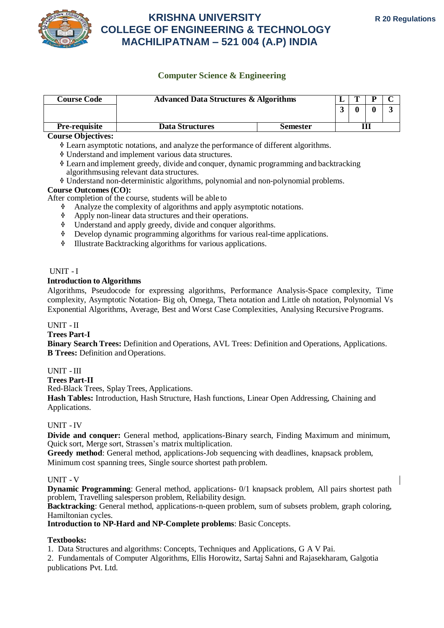

# **Computer Science & Engineering**

| <b>Course Code</b>   | <b>Advanced Data Structures &amp; Algorithms</b> |                 |  |  |  |  |
|----------------------|--------------------------------------------------|-----------------|--|--|--|--|
|                      |                                                  |                 |  |  |  |  |
| <b>Pre-requisite</b> | <b>Data Structures</b>                           | <b>Semester</b> |  |  |  |  |

**Course Objectives:**

- Learn asymptotic notations, and analyze the performance of different algorithms.
- Understand and implement various data structures.
- Learn and implement greedy, divide and conquer, dynamic programming and backtracking algorithmsusing relevant data structures.
- Understand non-deterministic algorithms, polynomial and non-polynomial problems.

## **Course Outcomes (CO):**

After completion of the course, students will be able to

- Analyze the complexity of algorithms and apply asymptotic notations.
- Apply non-linear data structures and their operations.
- Understand and apply greedy, divide and conquer algorithms.
- Develop dynamic programming algorithms for various real-time applications.
- Illustrate Backtracking algorithms for various applications.

## UNIT - I

## **Introduction to Algorithms**

Algorithms, Pseudocode for expressing algorithms, Performance Analysis-Space complexity, Time complexity, Asymptotic Notation- Big oh, Omega, Theta notation and Little oh notation, Polynomial Vs Exponential Algorithms, Average, Best and Worst Case Complexities, Analysing Recursive Programs.

## UNIT - II

## **Trees Part-I**

**Binary Search Trees:** Definition and Operations, AVL Trees: Definition and Operations, Applications. **B Trees:** Definition and Operations.

## UNIT - III

**Trees Part-II**

Red-Black Trees, Splay Trees, Applications.

**Hash Tables:** Introduction, Hash Structure, Hash functions, Linear Open Addressing, Chaining and Applications.

## UNIT - IV

**Divide and conquer:** General method, applications-Binary search, Finding Maximum and minimum, Quick sort, Merge sort, Strassen's matrix multiplication.

**Greedy method**: General method, applications-Job sequencing with deadlines, knapsack problem, Minimum cost spanning trees, Single source shortest path problem.

## UNIT - V

**Dynamic Programming**: General method, applications- 0/1 knapsack problem, All pairs shortest path problem, Travelling salesperson problem, Reliability design.

**Backtracking**: General method, applications-n-queen problem, sum of subsets problem, graph coloring, Hamiltonian cycles.

## **Introduction to NP-Hard and NP-Complete problems**: Basic Concepts.

# **Textbooks:**

1. Data Structures and algorithms: Concepts, Techniques and Applications, G A V Pai.

2. Fundamentals of Computer Algorithms, Ellis Horowitz, Sartaj Sahni and Rajasekharam, Galgotia publications Pvt. Ltd.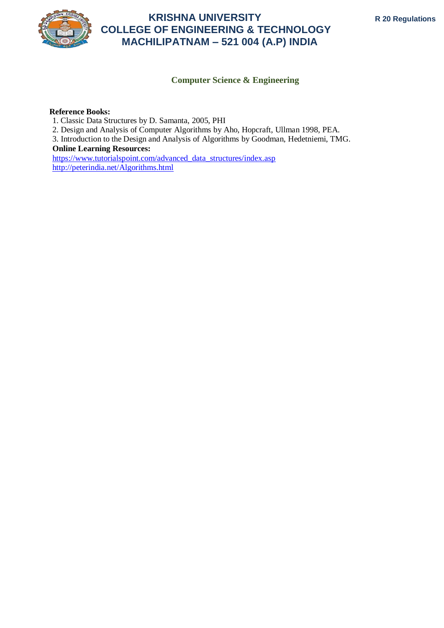

## **Computer Science & Engineering**

## **Reference Books:**

- 1. Classic Data Structures by D. Samanta, 2005, PHI
- 2. Design and Analysis of Computer Algorithms by Aho, Hopcraft, Ullman 1998, PEA.
- 3. Introduction to the Design and Analysis of Algorithms by Goodman, Hedetniemi, TMG.

### **Online Learning Resources:**

https:/[/www.tutorialspoint.com/advanced\\_data\\_structures/index.asp](http://www.tutorialspoint.com/advanced_data_structures/index.asp) <http://peterindia.net/Algorithms.html>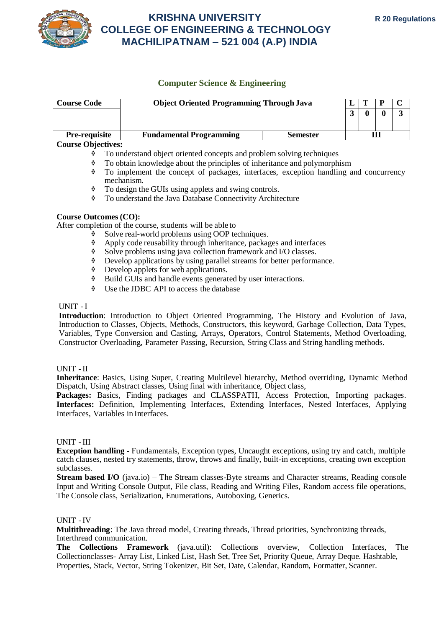

## **Computer Science & Engineering**

| <b>Course Code</b>   | <b>Object Oriented Programming Through Java</b> |                 |  |  |
|----------------------|-------------------------------------------------|-----------------|--|--|
|                      |                                                 |                 |  |  |
| <b>Pre-requisite</b> | <b>Fundamental Programming</b>                  | <b>Semester</b> |  |  |

### **Course Objectives:**

- To understand object oriented concepts and problem solving techniques
- To obtain knowledge about the principles of inheritance and polymorphism
- To implement the concept of packages, interfaces, exception handling and concurrency mechanism.
- $\bullet$  To design the GUIs using applets and swing controls.
- To understand the Java Database Connectivity Architecture

## **Course Outcomes (CO):**

After completion of the course, students will be able to

- $\mathbf{\hat{\Psi}}$  Solve real-world problems using OOP techniques.
- $\lozenge$  Apply code reusability through inheritance, packages and interfaces
- Solve problems using java collection framework and I/O classes.
- Develop applications by using parallel streams for better performance.
- Develop applets for web applications.
- $\bullet$  Build GUIs and handle events generated by user interactions.
- Use the JDBC API to access the database

#### UNIT - I

**Introduction**: Introduction to Object Oriented Programming, The History and Evolution of Java, Introduction to Classes, Objects, Methods, Constructors, this keyword, Garbage Collection, Data Types, Variables, Type Conversion and Casting, Arrays, Operators, Control Statements, Method Overloading, Constructor Overloading, Parameter Passing, Recursion, String Class and String handling methods.

#### UNIT - II

**Inheritance**: Basics, Using Super, Creating Multilevel hierarchy, Method overriding, Dynamic Method Dispatch, Using Abstract classes, Using final with inheritance, Object class,

**Packages:** Basics, Finding packages and CLASSPATH, Access Protection, Importing packages. **Interfaces:** Definition, Implementing Interfaces, Extending Interfaces, Nested Interfaces, Applying Interfaces, Variables in Interfaces.

#### UNIT - III

**Exception handling** - Fundamentals, Exception types, Uncaught exceptions, using try and catch, multiple catch clauses, nested try statements, throw, throws and finally, built-in exceptions, creating own exception subclasses.

**Stream based I/O** (java.io) – The Stream classes-Byte streams and Character streams, Reading console Input and Writing Console Output, File class, Reading and Writing Files, Random access file operations, The Console class, Serialization, Enumerations, Autoboxing, Generics.

## UNIT - IV

**Multithreading**: The Java thread model, Creating threads, Thread priorities, Synchronizing threads, Interthread communication.

**The Collections Framework** (java.util): Collections overview, Collection Interfaces, The Collectionclasses- Array List, Linked List, Hash Set, Tree Set, Priority Queue, Array Deque. Hashtable, Properties, Stack, Vector, String Tokenizer, Bit Set, Date, Calendar, Random, Formatter, Scanner.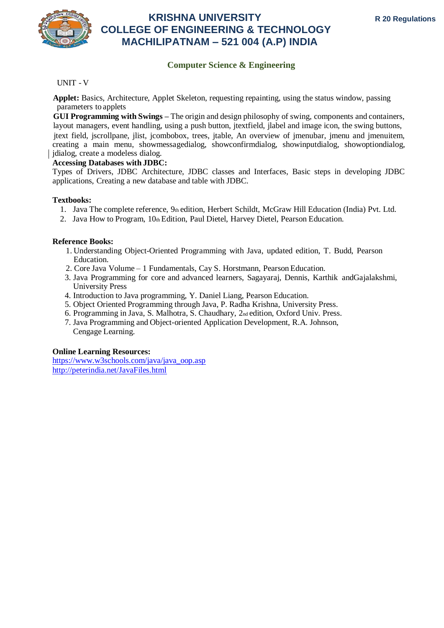

# **Computer Science & Engineering**

## UNIT - V

**Applet:** Basics, Architecture, Applet Skeleton, requesting repainting, using the status window, passing parameters to applets

**GUI Programming with Swings –** The origin and design philosophy of swing, components and containers, layout managers, event handling, using a push button, jtextfield, jlabel and image icon, the swing buttons, jtext field, jscrollpane, jlist, jcombobox, trees, jtable, An overview of jmenubar, jmenu and jmenuitem, creating a main menu, showmessagedialog, showconfirmdialog, showinputdialog, showoptiondialog, jdialog, create a modeless dialog.

## **Accessing Databases with JDBC:**

Types of Drivers, JDBC Architecture, JDBC classes and Interfaces, Basic steps in developing JDBC applications, Creating a new database and table with JDBC.

## **Textbooks:**

- 1. Java The complete reference, 9th edition, Herbert Schildt, McGraw Hill Education (India) Pvt. Ltd.
- 2. Java How to Program,  $10<sub>th</sub>$  Edition, Paul Dietel, Harvey Dietel, Pearson Education.

## **Reference Books:**

- 1. Understanding Object-Oriented Programming with Java, updated edition, T. Budd, Pearson Education.
- 2. Core Java Volume 1 Fundamentals, Cay S. Horstmann, Pearson Education.
- 3. Java Programming for core and advanced learners, Sagayaraj, Dennis, Karthik andGajalakshmi, University Press
- 4. Introduction to Java programming, Y. Daniel Liang, Pearson Education.
- 5. Object Oriented Programming through Java, P. Radha Krishna, University Press.
- 6. Programming in Java, S. Malhotra, S. Chaudhary, 2nd edition, Oxford Univ. Press.
- 7. Java Programming and Object-oriented Application Development, R.A. Johnson, Cengage Learning.

## **Online Learning Resources:**

https:/[/www.w3schools.com/java/java\\_oop.asp](http://www.w3schools.com/java/java_oop.asp) <http://peterindia.net/JavaFiles.html>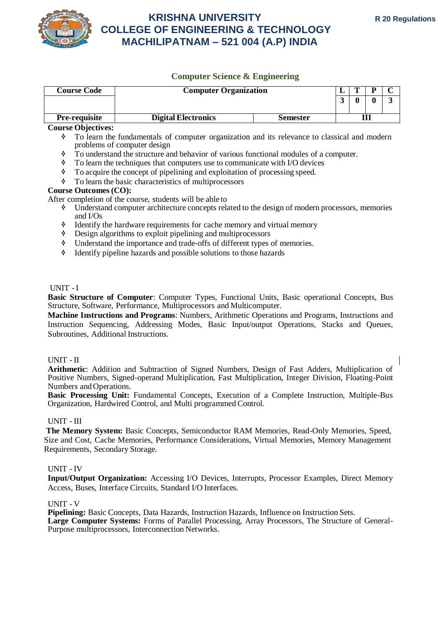

## **Computer Science & Engineering**

| <b>Course Code</b>   | <b>Computer Organization</b> |                 |  | m | n |  |
|----------------------|------------------------------|-----------------|--|---|---|--|
|                      |                              |                 |  |   |   |  |
| <b>Pre-requisite</b> | <b>Digital Electronics</b>   | <b>Semester</b> |  |   |   |  |

#### **Course Objectives:**

- To learn the fundamentals of computer organization and its relevance to classical and modern problems of computer design
- To understand the structure and behavior of various functional modules of a computer.
- $\bullet$  To learn the techniques that computers use to communicate with I/O devices
- To acquire the concept of pipelining and exploitation of processing speed.
- To learn the basic characteristics of multiprocessors

#### **Course Outcomes (CO):**

After completion of the course, students will be able to

- Understand computer architecture concepts related to the design of modern processors, memories and I/Os
- $\dot{\mathbf{v}}$  Identify the hardware requirements for cache memory and virtual memory
- $\bullet$  Design algorithms to exploit pipelining and multiprocessors
- Understand the importance and trade-offs of different types of memories.
- $\Diamond$  Identify pipeline hazards and possible solutions to those hazards

### UNIT - I

**Basic Structure of Computer**: Computer Types, Functional Units, Basic operational Concepts, Bus Structure, Software, Performance, Multiprocessors and Multicomputer.

**Machine Instructions and Programs**: Numbers, Arithmetic Operations and Programs, Instructions and Instruction Sequencing, Addressing Modes, Basic Input/output Operations, Stacks and Queues, Subroutines, Additional Instructions.

#### UNIT - II

**Arithmetic**: Addition and Subtraction of Signed Numbers, Design of Fast Adders, Multiplication of Positive Numbers, Signed-operand Multiplication, Fast Multiplication, Integer Division, Floating-Point Numbers and Operations.

**Basic Processing Unit:** Fundamental Concepts, Execution of a Complete Instruction, Multiple-Bus Organization, Hardwired Control, and Multi programmed Control.

## UNIT - III

**The Memory System:** Basic Concepts, Semiconductor RAM Memories, Read-Only Memories, Speed, Size and Cost, Cache Memories, Performance Considerations, Virtual Memories, Memory Management Requirements, Secondary Storage.

#### UNIT - IV

**Input/Output Organization:** Accessing I/O Devices, Interrupts, Processor Examples, Direct Memory Access, Buses, Interface Circuits, Standard I/O Interfaces.

#### UNIT - V

**Pipelining:** Basic Concepts, Data Hazards, Instruction Hazards, Influence on Instruction Sets. **Large Computer Systems:** Forms of Parallel Processing, Array Processors, The Structure of General-Purpose multiprocessors, Interconnection Networks.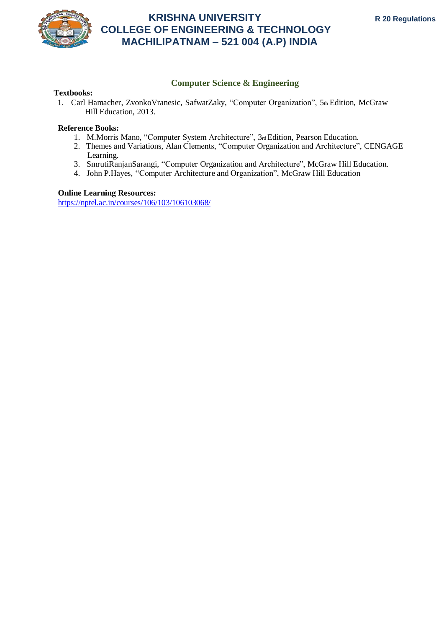

## **Computer Science & Engineering**

## **Textbooks:**

1. Carl Hamacher, ZvonkoVranesic, SafwatZaky, "Computer Organization", 5th Edition, McGraw Hill Education, 2013.

## **Reference Books:**

- 1. M.Morris Mano, "Computer System Architecture", 3rd Edition, Pearson Education.
- 2. Themes and Variations, Alan Clements, "Computer Organization and Architecture", CENGAGE Learning.
- 3. SmrutiRanjanSarangi, "Computer Organization and Architecture", McGraw Hill Education.
- 4. John P.Hayes, "Computer Architecture and Organization", McGraw Hill Education

## **Online Learning Resources:**

<https://nptel.ac.in/courses/106/103/106103068/>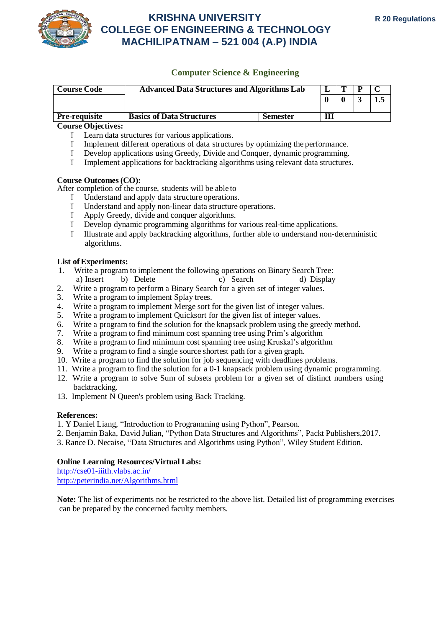

# **Computer Science & Engineering**

| <b>Course Code</b>   | <b>Advanced Data Structures and Algorithms Lab</b> |          | m |     |
|----------------------|----------------------------------------------------|----------|---|-----|
|                      |                                                    |          |   | 1.3 |
| <b>Pre-requisite</b> | <b>Basics of Data Structures</b>                   | Semester |   |     |

**Course Objectives:**

- Learn data structures for various applications.
- $\Upsilon$  Implement different operations of data structures by optimizing the performance.
- Develop applications using Greedy, Divide and Conquer, dynamic programming.
- Implement applications for backtracking algorithms using relevant data structures.

## **Course Outcomes (CO):**

After completion of the course, students will be able to

- Understand and apply data structure operations.
- Understand and apply non-linear data structure operations.
- Apply Greedy, divide and conquer algorithms.
- Develop dynamic programming algorithms for various real-time applications.
- Illustrate and apply backtracking algorithms, further able to understand non-deterministic algorithms.

## **List ofExperiments:**

- 1. Write a program to implement the following operations on Binary Search Tree: a) Insert b) Delete c) Search d) Display
- 2. Write a program to perform a Binary Search for a given set of integer values.
- 3. Write a program to implement Splay trees.
- 4. Write a program to implement Merge sort for the given list of integer values.
- 5. Write a program to implement Quicksort for the given list of integer values.
- 6. Write a program to find the solution for the knapsack problem using the greedy method.
- 7. Write a program to find minimum cost spanning tree using Prim's algorithm
- 8. Write a program to find minimum cost spanning tree using Kruskal's algorithm 9. Write a program to find a single source shortest path for a given graph.
- Write a program to find a single source shortest path for a given graph.
- 10. Write a program to find the solution for job sequencing with deadlines problems.
- 11. Write a program to find the solution for a 0-1 knapsack problem using dynamic programming.
- 12. Write a program to solve Sum of subsets problem for a given set of distinct numbers using backtracking.
- 13. Implement N Queen's problem using Back Tracking.

## **References:**

- 1. Y Daniel Liang, "Introduction to Programming using Python", Pearson.
- 2. Benjamin Baka, David Julian, "Python Data Structures and Algorithms", Packt Publishers,2017.
- 3. Rance D. Necaise, "Data Structures and Algorithms using Python", Wiley Student Edition.

## **Online Learning Resources/Virtual Labs:**

<http://cse01-iiith.vlabs.ac.in/> <http://peterindia.net/Algorithms.html>

**Note:** The list of experiments not be restricted to the above list. Detailed list of programming exercises can be prepared by the concerned faculty members.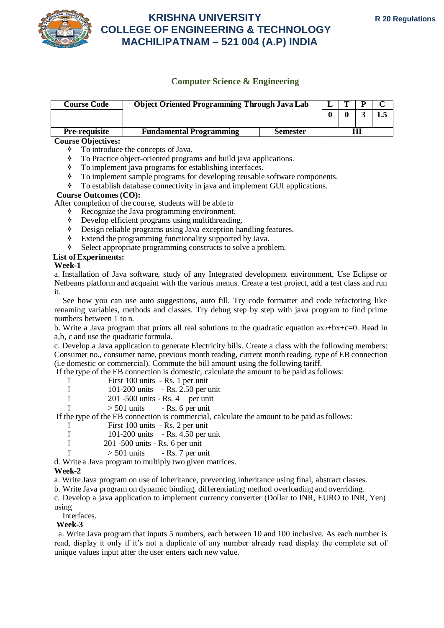

# **Computer Science & Engineering**

| <b>Course Code</b>   | <b>Object Oriented Programming Through Java Lab</b> |                 |  |     |
|----------------------|-----------------------------------------------------|-----------------|--|-----|
|                      |                                                     |                 |  | 1.5 |
| <b>Pre-requisite</b> | <b>Fundamental Programming</b>                      | <b>Semester</b> |  |     |

## **Course Objectives:**

- $\sqrt[4]{ }$  To introduce the concepts of Java.<br> $\sqrt[4]{ }$  To Practice object-oriented program
- To Practice object-oriented programs and build java applications.
- To implement java programs for establishing interfaces.
- $\lozenge$  To implement sample programs for developing reusable software components.
- $\bullet$  To establish database connectivity in java and implement GUI applications.

### **Course Outcomes (CO):**

After completion of the course, students will be able to

- **Recognize the Java programming environment.**
- Develop efficient programs using multithreading.
- Design reliable programs using Java exception handling features.
- \* Extend the programming functionality supported by Java.
- Select appropriate programming constructs to solve a problem.

## **List of Experiments:**

#### **Week-1**

a. Installation of Java software, study of any Integrated development environment, Use Eclipse or Netbeans platform and acquaint with the various menus. Create a test project, add a test class and run it.

See how you can use auto suggestions, auto fill. Try code formatter and code refactoring like renaming variables, methods and classes. Try debug step by step with java program to find prime numbers between 1 to n.

b. Write a Java program that prints all real solutions to the quadratic equation  $ax_2+bx+c=0$ . Read in a,b, c and use the quadratic formula.

c. Develop a Java application to generate Electricity bills. Create a class with the following members: Consumer no., consumer name, previous month reading, current month reading, type of EB connection (i.e domestic or commercial). Commute the bill amount using the following tariff.

If the type of the EB connection is domestic, calculate the amount to be paid as follows:

- $\begin{array}{r} \uparrow \\ \uparrow \end{array}$  First 100 units Rs. 1 per unit
- 101-200 units Rs. 2.50 per unit
- $\gamma$  201 -500 units Rs. 4 per unit
- $\gamma$  > 501 units Rs. 6 per unit

If the type of the EB connection is commercial, calculate the amount to be paid as follows:

- First 100 units Rs. 2 per unit
- $\gamma$  101-200 units Rs. 4.50 per unit
- $\gamma$  201 -500 units Rs. 6 per unit
	- $> 501$  units Rs. 7 per unit

d. Write a Java program to multiply two given matrices.

#### **Week-2**

a. Write Java program on use of inheritance, preventing inheritance using final, abstract classes.

b. Write Java program on dynamic binding, differentiating method overloading and overriding.

c. Develop a java application to implement currency converter (Dollar to INR, EURO to INR, Yen) using

Interfaces.

## **Week-3**

a. Write Java program that inputs 5 numbers, each between 10 and 100 inclusive. As each number is read, display it only if it's not a duplicate of any number already read display the complete set of unique values input after the user enters each new value.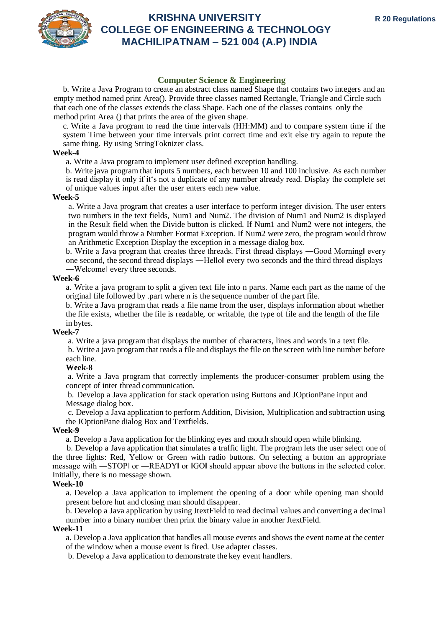

## **Computer Science & Engineering**

b. Write a Java Program to create an abstract class named Shape that contains two integers and an empty method named print Area(). Provide three classes named Rectangle, Triangle and Circle such that each one of the classes extends the class Shape. Each one of the classes contains only the method print Area () that prints the area of the given shape.

c. Write a Java program to read the time intervals (HH:MM) and to compare system time if the system Time between your time intervals print correct time and exit else try again to repute the same thing. By using StringToknizer class.

#### **Week-4**

a. Write a Java program to implement user defined exception handling.

b. Write java program that inputs 5 numbers, each between 10 and 100 inclusive. As each number is read display it only if it's not a duplicate of any number already read. Display the complete set of unique values input after the user enters each new value.

#### **Week-5**

a. Write a Java program that creates a user interface to perform integer division. The user enters two numbers in the text fields, Num1 and Num2. The division of Num1 and Num2 is displayed in the Result field when the Divide button is clicked. If Num1 and Num2 were not integers, the program would throw a Number Format Exception. If Num2 were zero, the program would throw an Arithmetic Exception Display the exception in a message dialog box.

b. Write a Java program that creates three threads. First thread displays —Good Morningl every one second, the second thread displays ―Hello‖ every two seconds and the third thread displays ―Welcome‖ every three seconds.

#### **Week-6**

a. Write a java program to split a given text file into n parts. Name each part as the name of the original file followed by .part where n is the sequence number of the part file.

b. Write a Java program that reads a file name from the user, displays information about whether the file exists, whether the file is readable, or writable, the type of file and the length of the file in bytes.

### **Week-7**

a. Write a java program that displays the number of characters, lines and words in a text file.

b. Write a java program that reads a file and displays the file on the screen with line number before each line.

## **Week-8**

a. Write a Java program that correctly implements the producer-consumer problem using the concept of inter thread communication.

b. Develop a Java application for stack operation using Buttons and JOptionPane input and Message dialog box.

c. Develop a Java application to perform Addition, Division, Multiplication and subtraction using the JOptionPane dialog Box and Textfields.

#### **Week-9**

a. Develop a Java application for the blinking eyes and mouth should open while blinking.

b. Develop a Java application that simulates a traffic light. The program lets the user select one of the three lights: Red, Yellow or Green with radio buttons. On selecting a button an appropriate message with ―STOP‖ or ―READY‖ or ‖GO‖ should appear above the buttons in the selected color. Initially, there is no message shown.

### **Week-10**

a. Develop a Java application to implement the opening of a door while opening man should present before hut and closing man should disappear.

b. Develop a Java application by using JtextField to read decimal values and converting a decimal number into a binary number then print the binary value in another JtextField.

### **Week-11**

a. Develop a Java application that handles all mouse events and shows the event name at the center of the window when a mouse event is fired. Use adapter classes.

b. Develop a Java application to demonstrate the key event handlers.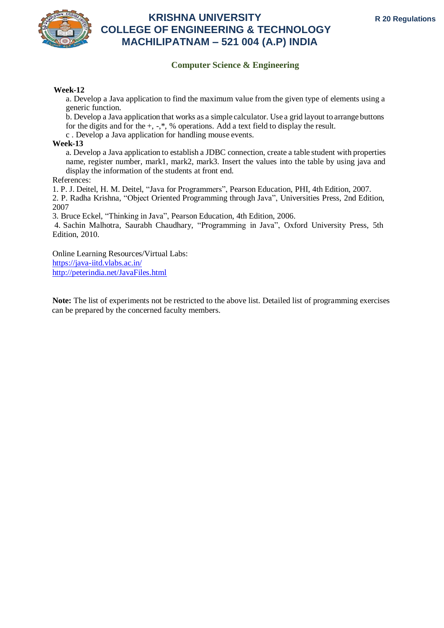

# **Computer Science & Engineering**

## **Week-12**

a. Develop a Java application to find the maximum value from the given type of elements using a generic function.

b. Develop a Java application that works as a simple calculator. Use a grid layout to arrange buttons for the digits and for the +, -,\*, % operations. Add a text field to display the result.

c . Develop a Java application for handling mouse events.

### **Week-13**

a. Develop a Java application to establish a JDBC connection, create a table student with properties name, register number, mark1, mark2, mark3. Insert the values into the table by using java and display the information of the students at front end.

### References:

1. P. J. Deitel, H. M. Deitel, "Java for Programmers", Pearson Education, PHI, 4th Edition, 2007.

2. P. Radha Krishna, "Object Oriented Programming through Java", Universities Press, 2nd Edition, 2007

3. Bruce Eckel, "Thinking in Java", Pearson Education, 4th Edition, 2006.

4. Sachin Malhotra, Saurabh Chaudhary, "Programming in Java", Oxford University Press, 5th Edition, 2010.

Online Learning Resources/Virtual Labs: https://java-iitd.vlabs.ac.in/ <http://peterindia.net/JavaFiles.html>

**Note:** The list of experiments not be restricted to the above list. Detailed list of programming exercises can be prepared by the concerned faculty members.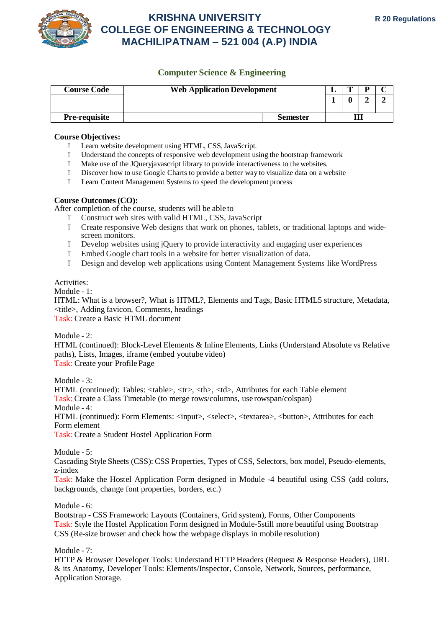

# **Computer Science & Engineering**

| <b>Course Code</b>   | <b>Web Application Development</b> |                 |  |  |
|----------------------|------------------------------------|-----------------|--|--|
|                      |                                    |                 |  |  |
| <b>Pre-requisite</b> |                                    | <b>Semester</b> |  |  |

### **Course Objectives:**

- 
- T Learn website development using HTML, CSS, JavaScript.<br>T Understand the concepts of responsive web development us
- T Understand the concepts of responsive web development using the bootstrap framework<br>
T Make use of the JOuervia vascript library to provide interactiveness to the websites. Make use of the JQueryjavascript library to provide interactiveness to thewebsites.
- Discover how to use Google Charts to provide a better way to visualize data on a website
- Learn Content Management Systems to speed the development process

## **Course Outcomes (CO):**

After completion of the course, students will be able to

- Construct web sites with valid HTML, CSS, JavaScript
- Create responsive Web designs that work on phones, tablets, or traditional laptops and widescreen monitors.
- Develop websites using jQuery to provide interactivity and engaging user experiences
- Embed Google chart tools in a website for better visualization of data.
- Design and develop web applications using Content Management Systems like WordPress

### Activities:

Module -  $1$ <sup>.</sup>

HTML: What is a browser?, What is HTML?, Elements and Tags, Basic HTML5 structure, Metadata, <title>, Adding favicon, Comments, headings

Task: Create a Basic HTML document

Module - 2:

HTML (continued): Block-Level Elements & Inline Elements, Links (Understand Absolute vs Relative paths), Lists, Images, iframe (embed youtube video) Task: Create your Profile Page

Module - 3:

HTML (continued): Tables: <table>, <tr>, <th>, <td>, Attributes for each Table element Task: Create a Class Timetable (to merge rows/columns, use rowspan/colspan) Module - 4: HTML (continued): Form Elements:  $\langle \text{input}\rangle$ ,  $\langle \text{select}\rangle$ ,  $\langle \text{textarea}\rangle$ ,  $\langle \text{button}\rangle$ , Attributes for each Form element

Task: Create a Student Hostel Application Form

Module - 5:

Cascading Style Sheets (CSS): CSS Properties, Types of CSS, Selectors, box model, Pseudo-elements, z-index

Task: Make the Hostel Application Form designed in Module -4 beautiful using CSS (add colors, backgrounds, change font properties, borders, etc.)

Module - 6:

Bootstrap - CSS Framework: Layouts (Containers, Grid system), Forms, Other Components Task: Style the Hostel Application Form designed in Module-5still more beautiful using Bootstrap CSS (Re-size browser and check how the webpage displays in mobile resolution)

Module - 7:

HTTP & Browser Developer Tools: Understand HTTP Headers (Request & Response Headers), URL & its Anatomy, Developer Tools: Elements/Inspector, Console, Network, Sources, performance, Application Storage.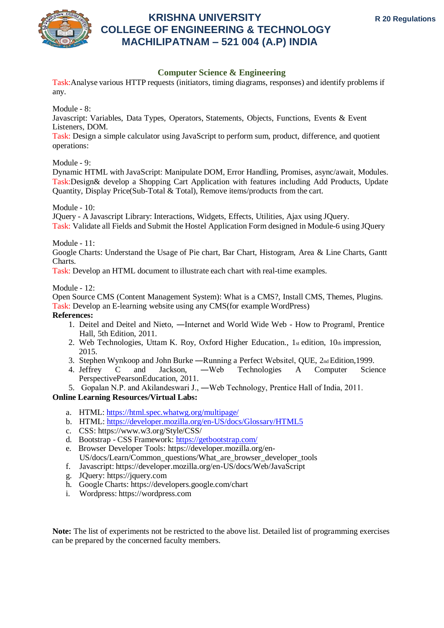

## **Computer Science & Engineering**

Task:Analyse various HTTP requests (initiators, timing diagrams, responses) and identify problems if any.

Module - 8:

Javascript: Variables, Data Types, Operators, Statements, Objects, Functions, Events & Event Listeners, DOM.

Task: Design a simple calculator using JavaScript to perform sum, product, difference, and quotient operations:

Module - 9:

Dynamic HTML with JavaScript: Manipulate DOM, Error Handling, Promises, async/await, Modules. Task:Design& develop a Shopping Cart Application with features including Add Products, Update Quantity, Display Price(Sub-Total & Total), Remove items/products from the cart.

Module - 10:

JQuery - A Javascript Library: Interactions, Widgets, Effects, Utilities, Ajax using JQuery. Task: Validate all Fields and Submit the Hostel Application Form designed in Module-6 using JQuery

### Module - 11:

Google Charts: Understand the Usage of Pie chart, Bar Chart, Histogram, Area & Line Charts, Gantt Charts.

Task: Develop an HTML document to illustrate each chart with real-time examples.

Module - 12:

Open Source CMS (Content Management System): What is a CMS?, Install CMS, Themes, Plugins. Task: Develop an E-learning website using any CMS(for example WordPress)

### **References:**

- 1. Deitel and Deitel and Nieto, ―Internet and World Wide Web How to Program‖, Prentice Hall, 5th Edition, 2011.
- 2. Web Technologies, Uttam K. Roy, Oxford Higher Education., 1st edition, 10th impression, 2015.
- 3. Stephen Wynkoop and John Burke ―Running a Perfect Website‖, QUE, 2nd Edition,1999.
- 4. Jeffrey C and Jackson, ―Web Technologies A Computer Science PerspectivePearsonEducation, 2011.
- 5. Gopalan N.P. and Akilandeswari J., ―Web Technology, Prentice Hall of India, 2011.

## **Online Learning Resources/Virtual Labs:**

- a. HTML: <https://html.spec.whatwg.org/multipage/>
- b. HTML: <https://developer.mozilla.org/en-US/docs/Glossary/HTML5>
- c. CSS: https:/[/www.w3.org/Style/CSS/](http://www.w3.org/Style/CSS/)
- d. Bootstrap CSS Framework: <https://getbootstrap.com/>
- e. Browser Developer Tools: https://developer.mozilla.org/en-US/docs/Learn/Common\_questions/What\_are\_browser\_developer\_tools
- f. Javascript: https://developer.mozilla.org/en-US/docs/Web/JavaScript
- g. JQuery: https://jquery.com
- h. Google Charts: https://developers.google.com/chart
- i. Wordpress: https://wordpress.com

**Note:** The list of experiments not be restricted to the above list. Detailed list of programming exercises can be prepared by the concerned faculty members.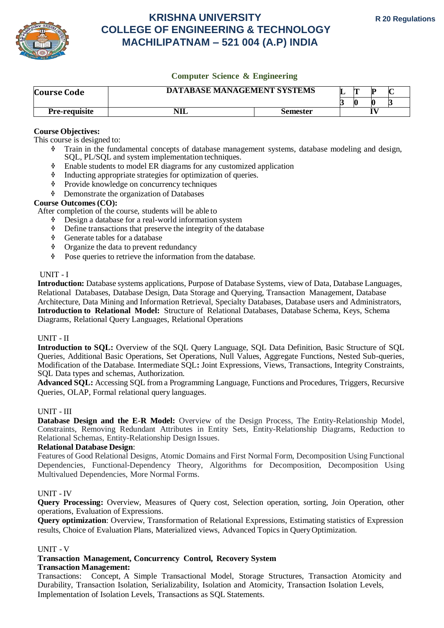

## **Computer Science & Engineering**

| <b>Course Code</b>   | DATABASE MANAGEMENT SYSTEMS |          |  |  |
|----------------------|-----------------------------|----------|--|--|
|                      |                             |          |  |  |
| <b>Pre-requisite</b> | NIL                         | Semester |  |  |

## **Course Objectives:**

This course is designed to:

- Train in the fundamental concepts of database management systems, database modeling and design, SQL, PL/SQL and system implementation techniques.
- Enable students to model ER diagrams for any customized application
- $\bullet$  Inducting appropriate strategies for optimization of queries.
- Provide knowledge on concurrency techniques
- $\bullet$  Demonstrate the organization of Databases

### **Course Outcomes (CO):**

After completion of the course, students will be able to

- Design a database for a real-world information system
- $\triangle$  Define transactions that preserve the integrity of the database
- Generate tables for a database
- $\lozenge$  Organize the data to prevent redundancy
- Pose queries to retrieve the information from the database.

## UNIT - I

**Introduction:** Database systems applications, Purpose of Database Systems, view of Data, Database Languages, Relational Databases, Database Design, Data Storage and Querying, Transaction Management, Database Architecture, Data Mining and Information Retrieval, Specialty Databases, Database users and Administrators, **Introduction to Relational Model:** Structure of Relational Databases, Database Schema, Keys, Schema Diagrams, Relational Query Languages, Relational Operations

## UNIT - II

**Introduction to SQL:** Overview of the SQL Query Language, SQL Data Definition, Basic Structure of SQL Queries, Additional Basic Operations, Set Operations, Null Values, Aggregate Functions, Nested Sub-queries, Modification of the Database. Intermediate SQL**:** Joint Expressions, Views, Transactions, Integrity Constraints, SQL Data types and schemas, Authorization.

**Advanced SQL:** Accessing SQL from a Programming Language, Functions and Procedures, Triggers, Recursive Queries, OLAP, Formal relational query languages.

## UNIT - III

**Database Design and the E-R Model:** Overview of the Design Process, The Entity-Relationship Model, Constraints, Removing Redundant Attributes in Entity Sets, Entity-Relationship Diagrams, Reduction to Relational Schemas, Entity-Relationship Design Issues.

## **Relational Database Design**:

Features of Good Relational Designs, Atomic Domains and First Normal Form, Decomposition Using Functional Dependencies, Functional-Dependency Theory, Algorithms for Decomposition, Decomposition Using Multivalued Dependencies, More Normal Forms.

## UNIT - IV

**Query Processing:** Overview, Measures of Query cost, Selection operation, sorting, Join Operation, other operations, Evaluation of Expressions.

**Query optimization**: Overview, Transformation of Relational Expressions, Estimating statistics of Expression results, Choice of Evaluation Plans, Materialized views, Advanced Topics in QueryOptimization.

## UNIT - V

# **Transaction Management, Concurrency Control, Recovery System**

**Transaction Management:**

Transactions: Concept, A Simple Transactional Model, Storage Structures, Transaction Atomicity and Durability, Transaction Isolation, Serializability, Isolation and Atomicity, Transaction Isolation Levels, Implementation of Isolation Levels, Transactions as SQL Statements.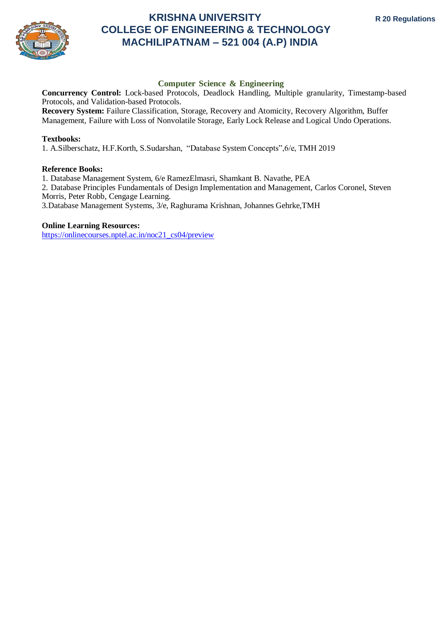

## **Computer Science & Engineering**

**Concurrency Control:** Lock-based Protocols, Deadlock Handling, Multiple granularity, Timestamp-based Protocols, and Validation-based Protocols.

**Recovery System:** Failure Classification, Storage, Recovery and Atomicity, Recovery Algorithm, Buffer Management, Failure with Loss of Nonvolatile Storage, Early Lock Release and Logical Undo Operations.

## **Textbooks:**

1. A.Silberschatz, H.F.Korth, S.Sudarshan, "Database System Concepts",6/e, TMH 2019

## **Reference Books:**

1. Database Management System, 6/e RamezElmasri, Shamkant B. Navathe, PEA

2. Database Principles Fundamentals of Design Implementation and Management, Carlos Coronel, Steven Morris, Peter Robb, Cengage Learning.

3.Database Management Systems, 3/e, Raghurama Krishnan, Johannes Gehrke,TMH

## **Online Learning Resources:**

[https://onlinecourses.nptel.ac.in/noc21\\_cs04/preview](https://onlinecourses.nptel.ac.in/noc21_cs04/preview)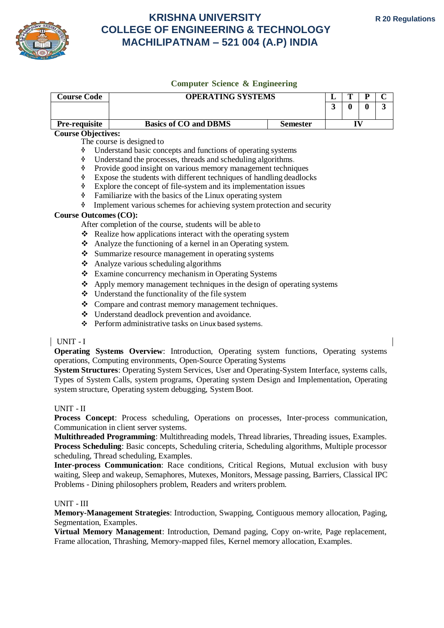

# **Computer Science & Engineering**

| <b>Course Code</b>   | <b>OPERATING SYSTEMS</b>     |                 |  |  |
|----------------------|------------------------------|-----------------|--|--|
|                      |                              |                 |  |  |
|                      |                              |                 |  |  |
| <b>Pre-requisite</b> | <b>Basics of CO and DBMS</b> | <b>Semester</b> |  |  |

## **Course Objectives:**

- The course is designed to
- Understand basic concepts and functions of operating systems
- $\dot{\mathbf{v}}$  Understand the processes, threads and scheduling algorithms.
- Provide good insight on various memory management techniques<br>• Expose the students with different techniques of handling deadloc
- Expose the students with different techniques of handling deadlocks<br>Explore the concept of file-system and its implementation issues
- Explore the concept of file-system and its implementation issues
- Familiarize with the basics of the Linux operating system
- $\Diamond$  Implement various schemes for achieving system protection and security

## **Course Outcomes (CO):**

After completion of the course, students will be able to

- $\triangle$  Realize how applications interact with the operating system
- Analyze the functioning of a kernel in an Operating system.
- Summarize resource management in operating systems
- Analyze various scheduling algorithms
- Examine concurrency mechanism in Operating Systems
- $\triangle$  Apply memory management techniques in the design of operating systems
- $\triangle$  Understand the functionality of the file system
- \* Compare and contrast memory management techniques.
- Understand deadlock prevention and avoidance.
- Perform administrative tasks on Linux based systems.

## UNIT - I

**Operating Systems Overview**: Introduction, Operating system functions, Operating systems operations, Computing environments, Open-Source Operating Systems

**System Structures**: Operating System Services, User and Operating-System Interface, systems calls, Types of System Calls, system programs, Operating system Design and Implementation, Operating system structure, Operating system debugging, System Boot.

## UNIT - II

**Process Concept**: Process scheduling, Operations on processes, Inter-process communication, Communication in client server systems.

**Multithreaded Programming**: Multithreading models, Thread libraries, Threading issues, Examples. **Process Scheduling**: Basic concepts, Scheduling criteria, Scheduling algorithms, Multiple processor scheduling, Thread scheduling, Examples.

**Inter-process Communication**: Race conditions, Critical Regions, Mutual exclusion with busy waiting, Sleep and wakeup, Semaphores, Mutexes, Monitors, Message passing, Barriers, Classical IPC Problems - Dining philosophers problem, Readers and writers problem.

## UNIT - III

**Memory-Management Strategies**: Introduction, Swapping, Contiguous memory allocation, Paging, Segmentation, Examples.

**Virtual Memory Management**: Introduction, Demand paging, Copy on-write, Page replacement, Frame allocation, Thrashing, Memory-mapped files, Kernel memory allocation, Examples.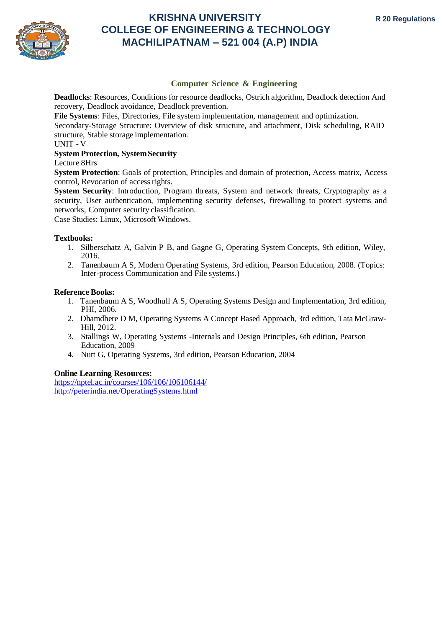

# **Computer Science & Engineering**

**Deadlocks**: Resources, Conditions for resource deadlocks, Ostrich algorithm, Deadlock detection And recovery, Deadlock avoidance, Deadlock prevention.

**File Systems**: Files, Directories, File system implementation, management and optimization.

Secondary-Storage Structure: Overview of disk structure, and attachment, Disk scheduling, RAID structure, Stable storage implementation.

UNIT - V

## **System Protection, SystemSecurity**

Lecture 8Hrs

**System Protection**: Goals of protection, Principles and domain of protection, Access matrix, Access control, Revocation of access rights.

**System Security**: Introduction, Program threats, System and network threats, Cryptography as a security, User authentication, implementing security defenses, firewalling to protect systems and networks, Computer security classification.

Case Studies: Linux, Microsoft Windows.

### **Textbooks:**

- 1. Silberschatz A, Galvin P B, and Gagne G, Operating System Concepts, 9th edition, Wiley, 2016.
- 2. Tanenbaum A S, Modern Operating Systems, 3rd edition, Pearson Education, 2008. (Topics: Inter-process Communication and File systems.)

### **Reference Books:**

- 1. Tanenbaum A S, Woodhull A S, Operating Systems Design and Implementation, 3rd edition, PHI, 2006.
- 2. Dhamdhere D M, Operating Systems A Concept Based Approach, 3rd edition, Tata McGraw-Hill, 2012.
- 3. Stallings W, Operating Systems -Internals and Design Principles, 6th edition, Pearson Education, 2009
- 4. Nutt G, Operating Systems, 3rd edition, Pearson Education, 2004

## **Online Learning Resources:**

https://nptel.ac.in/courses/106/106/106106144/ <http://peterindia.net/OperatingSystems.html>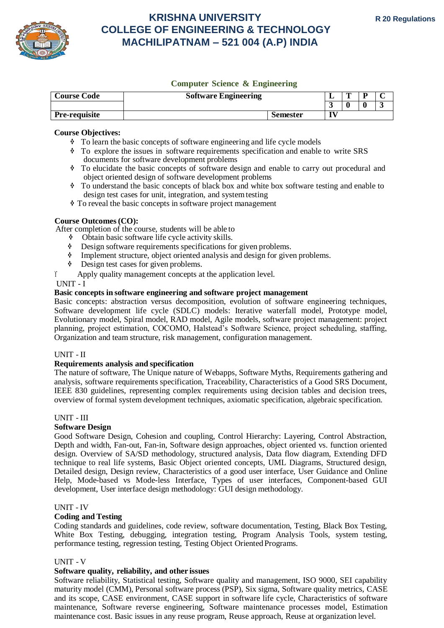

# **Computer Science & Engineering**

| <b>Course Code</b>   | <b>Software Engineering</b> |          | m |  |
|----------------------|-----------------------------|----------|---|--|
|                      |                             |          |   |  |
| <b>Pre-requisite</b> |                             | Semester |   |  |

## **Course Objectives:**

- $\bullet$  To learn the basic concepts of software engineering and life cycle models
- To explore the issues in software requirements specification and enable to write SRS documents for software development problems
- To elucidate the basic concepts of software design and enable to carry out procedural and object oriented design of software development problems
- To understand the basic concepts of black box and white box software testing and enable to design test cases for unit, integration, and systemtesting
- To reveal the basic concepts in software project management

## **Course Outcomes(CO):**

After completion of the course, students will be able to

- $\bullet$  Obtain basic software life cycle activity skills.<br>  $\bullet$  Design software requirements specifications for
- Design software requirements specifications for given problems.
- Implement structure, object oriented analysis and design for given problems.
- $\triangleleft$  Design test cases for given problems.
- Apply quality management concepts at the application level.

### UNIT - I

## **Basic concepts in software engineering and software project management**

Basic concepts: abstraction versus decomposition, evolution of software engineering techniques, Software development life cycle (SDLC) models: Iterative waterfall model, Prototype model, Evolutionary model, Spiral model, RAD model, Agile models, software project management: project planning, project estimation, COCOMO, Halstead's Software Science, project scheduling, staffing, Organization and team structure, risk management, configuration management.

## UNIT - II

## **Requirements analysis and specification**

The nature of software, The Unique nature of Webapps, Software Myths, Requirements gathering and analysis, software requirements specification, Traceability, Characteristics of a Good SRS Document, IEEE 830 guidelines, representing complex requirements using decision tables and decision trees, overview of formal system development techniques, axiomatic specification, algebraic specification.

## UNIT - III

## **Software Design**

Good Software Design, Cohesion and coupling, Control Hierarchy: Layering, Control Abstraction, Depth and width, Fan-out, Fan-in, Software design approaches, object oriented vs. function oriented design. Overview of SA/SD methodology, structured analysis, Data flow diagram, Extending DFD technique to real life systems, Basic Object oriented concepts, UML Diagrams, Structured design, Detailed design, Design review, Characteristics of a good user interface, User Guidance and Online Help, Mode-based vs Mode-less Interface, Types of user interfaces, Component-based GUI development, User interface design methodology: GUI design methodology.

## UNIT - IV

## **Coding and Testing**

Coding standards and guidelines, code review, software documentation, Testing, Black Box Testing, White Box Testing, debugging, integration testing, Program Analysis Tools, system testing, performance testing, regression testing, Testing Object Oriented Programs.

## UNIT - V

## **Software quality, reliability, and other issues**

Software reliability, Statistical testing, Software quality and management, ISO 9000, SEI capability maturity model (CMM), Personal software process (PSP), Six sigma, Software quality metrics, CASE and its scope, CASE environment, CASE support in software life cycle, Characteristics of software maintenance, Software reverse engineering, Software maintenance processes model, Estimation maintenance cost. Basic issues in any reuse program, Reuse approach, Reuse at organization level.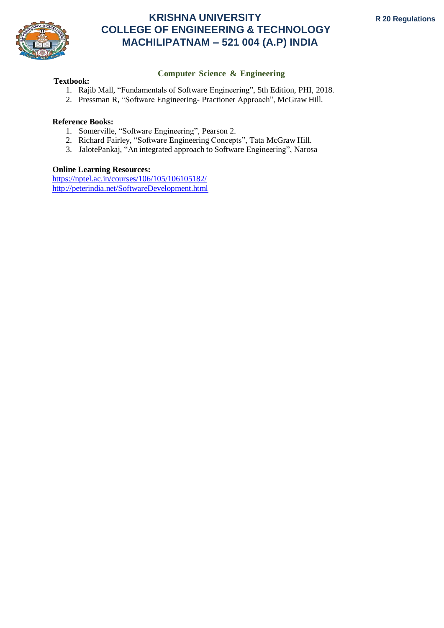

# **Computer Science & Engineering**

## **Textbook:**

- 1. Rajib Mall, "Fundamentals of Software Engineering", 5th Edition, PHI, 2018.
- 2. Pressman R, "Software Engineering- Practioner Approach", McGraw Hill.

## **Reference Books:**

- 1. Somerville, "Software Engineering", Pearson 2.
- 2. Richard Fairley, "Software Engineering Concepts", Tata McGraw Hill.
- 3. JalotePankaj, "An integrated approach to Software Engineering", Narosa

## **Online Learning Resources:**

https://nptel.ac.in/courses/106/105/106105182/ <http://peterindia.net/SoftwareDevelopment.html>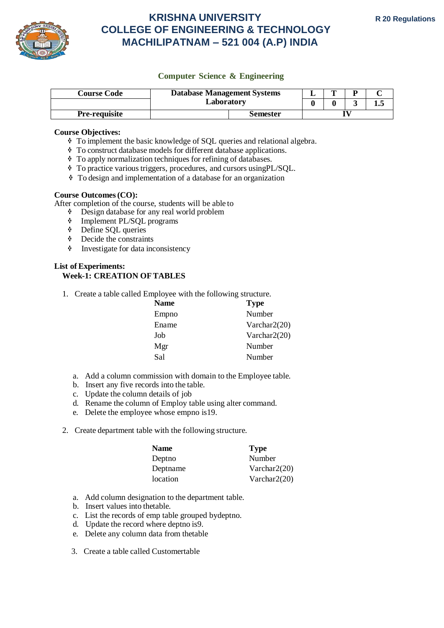

# **Computer Science & Engineering**

| <b>Course Code</b>   | <b>Database Management Systems</b><br>Laboratory |          |  | m |  |     |
|----------------------|--------------------------------------------------|----------|--|---|--|-----|
|                      |                                                  |          |  |   |  | 1.J |
| <b>Pre-requisite</b> |                                                  | Semester |  |   |  |     |

## **Course Objectives:**

- To implement the basic knowledge of SQL queries and relational algebra.
- To construct database models for different database applications.
- To apply normalization techniques for refining of databases.
- To practice various triggers, procedures, and cursors usingPL/SQL.
- To design and implementation of a database for an organization

## **Course Outcomes(CO):**

After completion of the course, students will be able to

- Design database for any real world problem
- $\frac{1}{2}$  Implement PL/SQL programs<br>
Define SOL queries
- Define SQL queries
- $\bullet$  Decide the constraints
- $\bullet$  Investigate for data inconsistency

## **List of Experiments: Week-1: CREATION OFTABLES**

1. Create a table called Employee with the following structure.

| Name  | <b>Type</b>     |
|-------|-----------------|
| Empno | Number          |
| Ename | Varchar $2(20)$ |
| Job   | Varchar2(20)    |
| Mgr   | Number          |
| Sal   | Number          |
|       |                 |

- a. Add a column commission with domain to the Employee table.
- b. Insert any five records into the table.
- c. Update the column details of job
- d. Rename the column of Employ table using alter command.
- e. Delete the employee whose empno is19.
- 2. Create department table with the following structure.

| <b>Name</b> | <b>Type</b>     |
|-------------|-----------------|
| Deptno      | Number          |
| Deptname    | Varchar $2(20)$ |
| location    | Varchar $2(20)$ |

- a. Add column designation to the department table.
- b. Insert values into thetable.
- c. List the records of emp table grouped bydeptno.
- d. Update the record where deptno is9.
- e. Delete any column data from thetable
- 3. Create a table called Customertable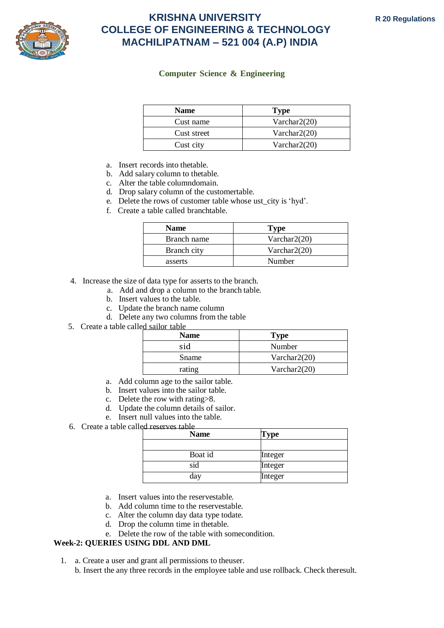

# **Computer Science & Engineering**

| <b>Name</b> | <b>Type</b>     |
|-------------|-----------------|
| Cust name   | Varchar $2(20)$ |
| Cust street | Varchar $2(20)$ |
| Cust city   | Varchar $2(20)$ |

- a. Insert records into thetable.
- b. Add salary column to thetable.
- c. Alter the table columndomain.
- d. Drop salary column of the customertable.
- e. Delete the rows of customer table whose ust\_city is 'hyd'.
- f. Create a table called branchtable.

| <b>Name</b> | <b>Type</b>     |
|-------------|-----------------|
| Branch name | Varchar $2(20)$ |
| Branch city | Varchar $2(20)$ |
| asserts     | Number          |

- 4. Increase the size of data type for asserts to the branch.
	- a. Add and drop a column to the branch table.
	- b. Insert values to the table.
	- c. Update the branch name column
	- d. Delete any two columns from the table
- 5. Create a table called sailor table

| <b>Name</b> | <b>Type</b>     |
|-------------|-----------------|
| sid         | Number          |
| Sname       | Varchar $2(20)$ |
| rating      | Varchar $2(20)$ |

- a. Add column age to the sailor table.
- b. Insert values into the sailor table.
- c. Delete the row with rating>8.
- d. Update the column details of sailor.
- e. Insert null values into the table.
- 6. Create a table called reserves table

| <b>Name</b> | <b>Type</b> |
|-------------|-------------|
|             |             |
| Boat id     | Integer     |
| sid         | Integer     |
| day         | Integer     |

- a. Insert values into the reservestable.
- b. Add column time to the reservestable.
- c. Alter the column day data type todate.
- d. Drop the column time in thetable.
- e. Delete the row of the table with somecondition.

# **Week-2: QUERIES USING DDL AND DML**

- 1. a. Create a user and grant all permissions to theuser.
	- b. Insert the any three records in the employee table and use rollback. Check theresult.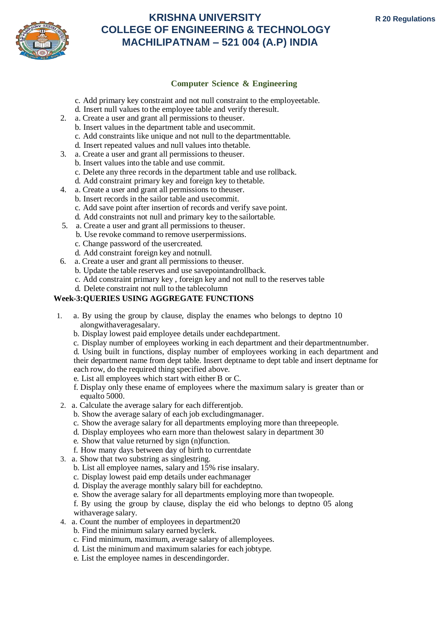

# **Computer Science & Engineering**

- c. Add primary key constraint and not null constraint to the employeetable.
- d. Insert null values to the employee table and verify theresult.
- 2. a. Create a user and grant all permissions to theuser.
	- b. Insert values in the department table and usecommit.
	- c. Add constraints like unique and not null to the departmenttable.
	- d. Insert repeated values and null values into thetable.
- 3. a. Create a user and grant all permissions to theuser.
	- b. Insert values into the table and use commit.
		- c. Delete any three records in the department table and use rollback.
	- d. Add constraint primary key and foreign key to thetable.
- 4. a. Create a user and grant all permissions to theuser.
	- b. Insert records in the sailor table and usecommit.
		- c. Add save point after insertion of records and verify save point.
	- d. Add constraints not null and primary key to the sailortable.
- 5. a. Create a user and grant all permissions to theuser.
	- b. Use revoke command to remove userpermissions.
		- c. Change password of the usercreated.
		- d. Add constraint foreign key and notnull.
- 6. a. Create a user and grant all permissions to theuser.
	- b. Update the table reserves and use savepointandrollback.
	- c. Add constraint primary key , foreign key and not null to the reserves table
	- d. Delete constraint not null to the tablecolumn

## **Week-3:QUERIES USING AGGREGATE FUNCTIONS**

- 1. a. By using the group by clause, display the enames who belongs to deptno 10 alongwithaveragesalary.
	- b. Display lowest paid employee details under eachdepartment.
	- c. Display number of employees working in each department and their departmentnumber.
	- d. Using built in functions, display number of employees working in each department and their department name from dept table. Insert deptname to dept table and insert deptname for each row, do the required thing specified above.
	- e. List all employees which start with either B or C.
	- f. Display only these ename of employees where the maximum salary is greater than or equalto 5000.
- 2. a. Calculate the average salary for each differentjob.
	- b. Show the average salary of each job excludingmanager.
	- c. Show the average salary for all departments employing more than threepeople.
	- d. Display employees who earn more than thelowest salary in department 30
	- e. Show that value returned by sign (n)function.
	- f. How many days between day of birth to currentdate
- 3. a. Show that two substring as singlestring.
	- b. List all employee names, salary and 15% rise insalary.
	- c. Display lowest paid emp details under eachmanager
	- d. Display the average monthly salary bill for eachdeptno.
	- e. Show the average salary for all departments employing more than twopeople.
	- f. By using the group by clause, display the eid who belongs to deptno 05 along withaverage salary.
- 4. a. Count the number of employees in department20
	- b. Find the minimum salary earned byclerk.
	- c. Find minimum, maximum, average salary of allemployees.
	- d. List the minimum and maximum salaries for each jobtype.
	- e. List the employee names in descendingorder.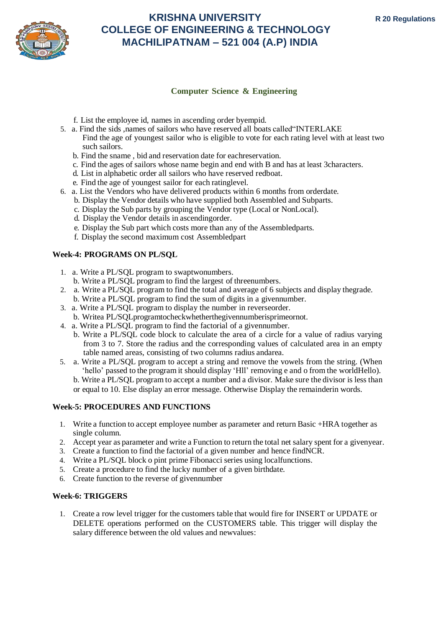

## **Computer Science & Engineering**

- f. List the employee id, names in ascending order byempid.
- 5. a. Find the sids ,names of sailors who have reserved all boats called"INTERLAKE
	- Find the age of youngest sailor who is eligible to vote for each rating level with at least two such sailors.
		- b. Find the sname , bid and reservation date for eachreservation.
		- c. Find the ages of sailors whose name begin and end with B and has at least 3characters.
		- d. List in alphabetic order all sailors who have reserved redboat.
		- e. Find the age of youngest sailor for each ratinglevel.
- 6. a. List the Vendors who have delivered products within 6 months from orderdate.
	- b. Display the Vendor details who have supplied both Assembled and Subparts.
	- c. Display the Sub parts by grouping the Vendor type (Local or NonLocal).
	- d. Display the Vendor details in ascendingorder.
	- e. Display the Sub part which costs more than any of the Assembledparts.
	- f. Display the second maximum cost Assembledpart

# **Week-4: PROGRAMS ON PL/SQL**

- 1. a. Write a PL/SQL program to swaptwonumbers.
	- b. Write a PL/SQL program to find the largest of threenumbers.
- 2. a. Write a PL/SQL program to find the total and average of 6 subjects and display thegrade. b. Write a PL/SQL program to find the sum of digits in a givennumber.
- 
- 3. a. Write a PL/SQL program to display the number in reverseorder. b. Writea PL/SQLprogramtocheckwhetherthegivennumberisprimeornot.
- 4. a. Write a PL/SQL program to find the factorial of a givennumber.
	- b. Write a PL/SQL code block to calculate the area of a circle for a value of radius varying from 3 to 7. Store the radius and the corresponding values of calculated area in an empty table named areas, consisting of two columns radius andarea.
- 5. a. Write a PL/SQL program to accept a string and remove the vowels from the string. (When 'hello' passed to the program it should display 'Hll' removing e and o from the worldHello). b. Write a PL/SQL program to accept a number and a divisor. Make sure the divisor is less than or equal to 10. Else display an error message. Otherwise Display the remainderin words.

## **Week-5: PROCEDURES AND FUNCTIONS**

- 1. Write a function to accept employee number as parameter and return Basic +HRA together as single column.
- 2. Accept year as parameter and write a Function to return the total net salary spent for a givenyear.
- 3. Create a function to find the factorial of a given number and hence findNCR.
- 4. Write a PL/SQL block o pint prime Fibonacci series using localfunctions.
- 5. Create a procedure to find the lucky number of a given birthdate.
- 6. Create function to the reverse of givennumber

## **Week-6: TRIGGERS**

1. Create a row level trigger for the customers table that would fire for INSERT or UPDATE or DELETE operations performed on the CUSTOMERS table. This trigger will display the salary difference between the old values and newvalues: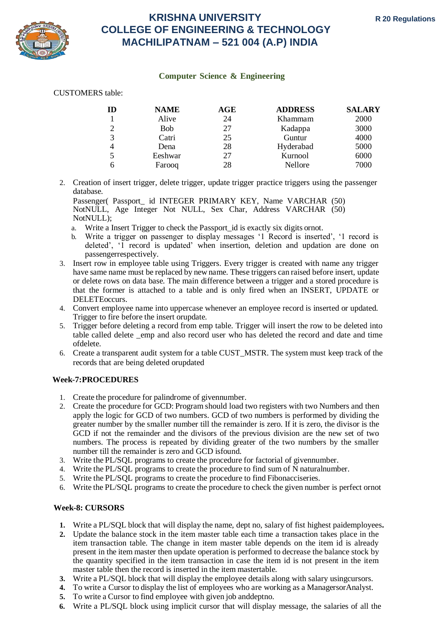

## **Computer Science & Engineering**

## CUSTOMERS table:

| ID             | <b>NAME</b> | AGE | <b>ADDRESS</b> | <b>SALARY</b> |
|----------------|-------------|-----|----------------|---------------|
|                | Alive       | 24  | Khammam        | 2000          |
| 2              | Bob         | 27  | Kadappa        | 3000          |
| 3              | Catri       | 25  | Guntur         | 4000          |
| $\overline{4}$ | Dena        | 28  | Hyderabad      | 5000          |
| .5             | Eeshwar     | 27  | Kurnool        | 6000          |
| 6              | Farooq      | 28  | Nellore        | 7000          |

2. Creation of insert trigger, delete trigger, update trigger practice triggers using the passenger database.

Passenger( Passport\_ id INTEGER PRIMARY KEY, Name VARCHAR (50) NotNULL, Age Integer Not NULL, Sex Char, Address VARCHAR (50) NotNULL);

- a. Write a Insert Trigger to check the Passport\_id is exactly six digits ornot.
- b. Write a trigger on passenger to display messages '1 Record is inserted', '1 record is deleted', '1 record is updated' when insertion, deletion and updation are done on passengerrespectively.
- 3. Insert row in employee table using Triggers. Every trigger is created with name any trigger have same name must be replaced by new name. These triggers can raised before insert, update or delete rows on data base. The main difference between a trigger and a stored procedure is that the former is attached to a table and is only fired when an INSERT, UPDATE or DELETEoccurs.
- 4. Convert employee name into uppercase whenever an employee record is inserted or updated. Trigger to fire before the insert orupdate.
- 5. Trigger before deleting a record from emp table. Trigger will insert the row to be deleted into table called delete \_emp and also record user who has deleted the record and date and time ofdelete.
- 6. Create a transparent audit system for a table CUST\_MSTR. The system must keep track of the records that are being deleted orupdated

## **Week-7:PROCEDURES**

- 1. Create the procedure for palindrome of givennumber.
- 2. Create the procedure for GCD: Program should load two registers with two Numbers and then apply the logic for GCD of two numbers. GCD of two numbers is performed by dividing the greater number by the smaller number till the remainder is zero. If it is zero, the divisor is the GCD if not the remainder and the divisors of the previous division are the new set of two numbers. The process is repeated by dividing greater of the two numbers by the smaller number till the remainder is zero and GCD isfound.
- 3. Write the PL/SQL programs to create the procedure for factorial of givennumber.
- 4. Write the PL/SQL programs to create the procedure to find sum of N naturalnumber.
- 5. Write the PL/SQL programs to create the procedure to find Fibonacciseries.
- 6. Write the PL/SQL programs to create the procedure to check the given number is perfect ornot

## **Week-8: CURSORS**

- **1.** Write a PL/SQL block that will display the name, dept no, salary of fist highest paidemployees**.**
- **2.** Update the balance stock in the item master table each time a transaction takes place in the item transaction table. The change in item master table depends on the item id is already present in the item master then update operation is performed to decrease the balance stock by the quantity specified in the item transaction in case the item id is not present in the item master table then the record is inserted in the item mastertable.
- **3.** Write a PL/SQL block that will display the employee details along with salary usingcursors.
- **4.** To write a Cursor to display the list of employees who are working as a ManagersorAnalyst.
- **5.** To write a Cursor to find employee with given job anddeptno.
- **6.** Write a PL/SQL block using implicit cursor that will display message, the salaries of all the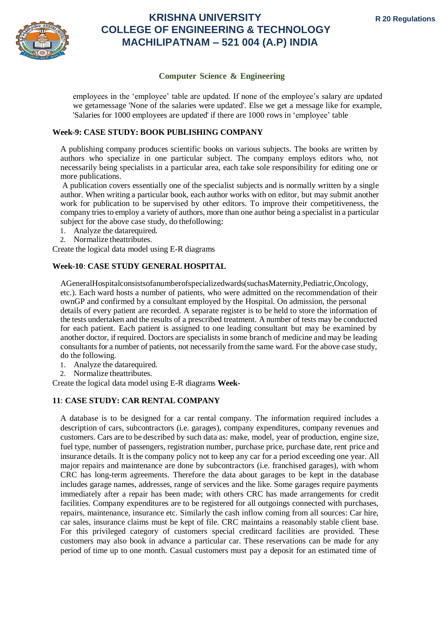

## **Computer Science & Engineering**

employees in the 'employee' table are updated. If none of the employee's salary are updated we getamessage 'None of the salaries were updated'. Else we get a message like for example, 'Salaries for 1000 employees are updated' if there are 1000 rows in 'employee' table

## **Week-9: CASE STUDY: BOOK PUBLISHING COMPANY**

A publishing company produces scientific books on various subjects. The books are written by authors who specialize in one particular subject. The company employs editors who, not necessarily being specialists in a particular area, each take sole responsibility for editing one or more publications.

A publication covers essentially one of the specialist subjects and is normally written by a single author. When writing a particular book, each author works with on editor, but may submit another work for publication to be supervised by other editors. To improve their competitiveness, the company tries to employ a variety of authors, more than one author being a specialist in a particular subject for the above case study, do thefollowing:

- 1. Analyze the datarequired.
- 2. Normalize theattributes.

Create the logical data model using E-R diagrams

## **Week-10**: **CASE STUDY GENERAL HOSPITAL**

AGeneralHospitalconsistsofanumberofspecializedwards(suchasMaternity,Pediatric,Oncology, etc.). Each ward hosts a number of patients, who were admitted on the recommendation of their ownGP and confirmed by a consultant employed by the Hospital. On admission, the personal details of every patient are recorded. A separate register is to be held to store the information of the tests undertaken and the results of a prescribed treatment. A number of tests may be conducted for each patient. Each patient is assigned to one leading consultant but may be examined by another doctor, if required. Doctors are specialists in some branch of medicine and may be leading consultants for a number of patients, not necessarily from the same ward. For the above case study, do the following.

- 1. Analyze the datarequired.
- 2. Normalize theattributes.

Create the logical data model using E-R diagrams **Week-**

## **11**: **CASE STUDY: CAR RENTAL COMPANY**

A database is to be designed for a car rental company. The information required includes a description of cars, subcontractors (i.e. garages), company expenditures, company revenues and customers. Cars are to be described by such data as: make, model, year of production, engine size, fuel type, number of passengers, registration number, purchase price, purchase date, rent price and insurance details. It is the company policy not to keep any car for a period exceeding one year. All major repairs and maintenance are done by subcontractors (i.e. franchised garages), with whom CRC has long-term agreements. Therefore the data about garages to be kept in the database includes garage names, addresses, range of services and the like. Some garages require payments immediately after a repair has been made; with others CRC has made arrangements for credit facilities. Company expenditures are to be registered for all outgoings connected with purchases, repairs, maintenance, insurance etc. Similarly the cash inflow coming from all sources: Car hire, car sales, insurance claims must be kept of file. CRC maintains a reasonably stable client base. For this privileged category of customers special creditcard facilities are provided. These customers may also book in advance a particular car. These reservations can be made for any period of time up to one month. Casual customers must pay a deposit for an estimated time of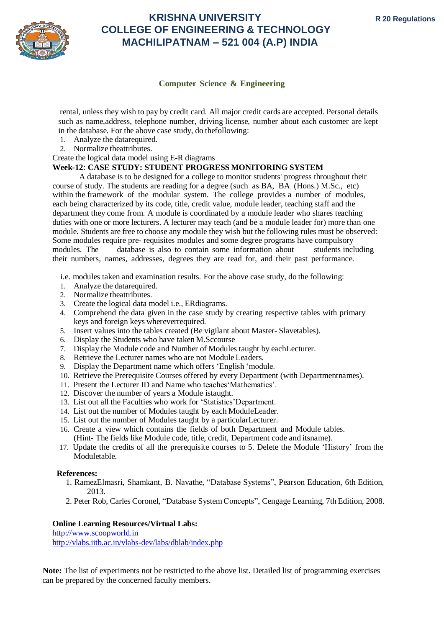

## **Computer Science & Engineering**

rental, unless they wish to pay by credit card. All major credit cards are accepted. Personal details such as name,address, telephone number, driving license, number about each customer are kept in the database. For the above case study, do thefollowing:

- 1. Analyze the datarequired.
- 2. Normalize theattributes.

## Create the logical data model using E-R diagrams

## **Week-12**: **CASE STUDY: STUDENT PROGRESS MONITORING SYSTEM**

A database is to be designed for a college to monitor students' progress throughout their course of study. The students are reading for a degree (such as BA, BA (Hons.) M.Sc., etc) within the framework of the modular system. The college provides a number of modules, each being characterized by its code, title, credit value, module leader, teaching staff and the department they come from. A module is coordinated by a module leader who shares teaching duties with one or more lecturers. A lecturer may teach (and be a module leader for) more than one module. Students are free to choose any module they wish but the following rules must be observed: Some modules require pre- requisites modules and some degree programs have compulsory modules. The database is also to contain some information about students including their numbers, names, addresses, degrees they are read for, and their past performance.

i.e. modules taken and examination results. For the above case study, do the following:

- 1. Analyze the datarequired.
- 2. Normalize theattributes.
- 3. Create the logical data model i.e., ERdiagrams.
- 4. Comprehend the data given in the case study by creating respective tables with primary keys and foreign keys whereverrequired.
- 5. Insert values into the tables created (Be vigilant about Master- Slavetables).
- 6. Display the Students who have taken M.Sccourse
- 7. Display the Module code and Number of Modules taught by eachLecturer.
- 8. Retrieve the Lecturer names who are not Module Leaders.
- 9. Display the Department name which offers 'English 'module.
- 10. Retrieve the Prerequisite Courses offered by every Department (with Departmentnames).
- 11. Present the Lecturer ID and Name who teaches'Mathematics'.
- 12. Discover the number of years a Module istaught.
- 13. List out all the Faculties who work for 'Statistics'Department.
- 14. List out the number of Modules taught by each ModuleLeader.
- 15. List out the number of Modules taught by a particularLecturer.
- 16. Create a view which contains the fields of both Department and Module tables. (Hint- The fields like Module code, title, credit, Department code and itsname).
- 17. Update the credits of all the prerequisite courses to 5. Delete the Module 'History' from the Moduletable.

## **References:**

- 1. RamezElmasri, Shamkant, B. Navathe, "Database Systems", Pearson Education, 6th Edition, 2013.
- 2. Peter Rob, Carles Coronel, "Database System Concepts", Cengage Learning, 7th Edition, 2008.

## **Online Learning Resources/Virtual Labs:**

[http://www.scoopworld.in](http://www.scoopworld.in/) <http://vlabs.iitb.ac.in/vlabs-dev/labs/dblab/index.php>

**Note:** The list of experiments not be restricted to the above list. Detailed list of programming exercises can be prepared by the concerned faculty members.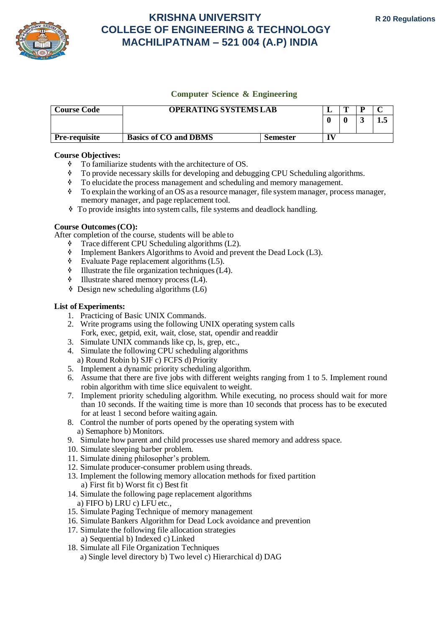

## **Computer Science & Engineering**

| <b>Course Code</b>   | <b>OPERATING SYSTEMS LAB</b> |                 |  | m |          |
|----------------------|------------------------------|-----------------|--|---|----------|
|                      |                              |                 |  |   | <br>د. 1 |
| <b>Pre-requisite</b> | <b>Basics of CO and DBMS</b> | <b>Semester</b> |  |   |          |

### **Course Objectives:**

- To familiarize students with the architecture of OS.
- To provide necessary skills for developing and debugging CPU Scheduling algorithms.
- $\bullet$  To elucidate the process management and scheduling and memory management.<br> $\bullet$  To explain the working of an OS as a resource manager file system manager process
- To explain the working of an OS as a resource manager, file system manager, process manager, memory manager, and page replacement tool.
- To provide insights into system calls, file systems and deadlock handling.

### **Course Outcomes(CO):**

After completion of the course, students will be able to

- Trace different CPU Scheduling algorithms (L2).
- Implement Bankers Algorithms to Avoid and prevent the Dead Lock (L3).
- Evaluate Page replacement algorithms (L5).
- $*$  Illustrate the file organization techniques (L4).
- $\text{\textbullet}$  Illustrate shared memory process (L4).
- $\triangle$  Design new scheduling algorithms (L6)

### **List of Experiments:**

- 1. Practicing of Basic UNIX Commands.
- 2. Write programs using the following UNIX operating system calls Fork, exec, getpid, exit, wait, close, stat, opendir and readdir
- 3. Simulate UNIX commands like cp, ls, grep, etc.,
- 4. Simulate the following CPU scheduling algorithms a) Round Robin b) SJF c) FCFS d) Priority
- 5. Implement a dynamic priority scheduling algorithm.
- 6. Assume that there are five jobs with different weights ranging from 1 to 5. Implement round robin algorithm with time slice equivalent to weight.
- 7. Implement priority scheduling algorithm. While executing, no process should wait for more than 10 seconds. If the waiting time is more than 10 seconds that process has to be executed for at least 1 second before waiting again.
- 8. Control the number of ports opened by the operating system with a) Semaphore b) Monitors.
- 9. Simulate how parent and child processes use shared memory and address space.
- 10. Simulate sleeping barber problem.
- 11. Simulate dining philosopher's problem.
- 12. Simulate producer-consumer problem using threads.
- 13. Implement the following memory allocation methods for fixed partition a) First fit b) Worst fit c) Best fit
- 14. Simulate the following page replacement algorithms a) FIFO b) LRU c) LFU etc.,
- 15. Simulate Paging Technique of memory management
- 16. Simulate Bankers Algorithm for Dead Lock avoidance and prevention
- 17. Simulate the following file allocation strategies a) Sequential b) Indexed c) Linked
- 18. Simulate all File Organization Techniques a) Single level directory b) Two level c) Hierarchical d) DAG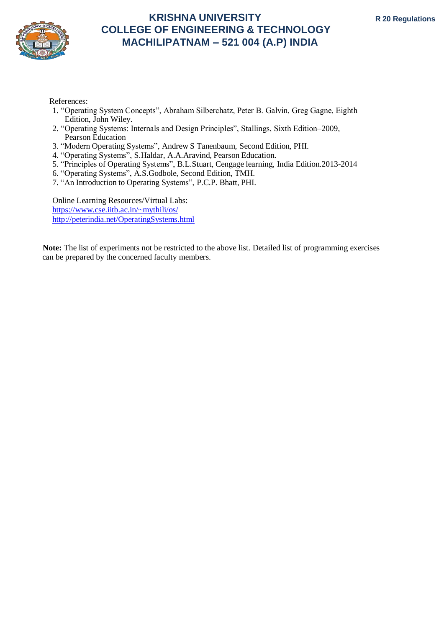

## References:

- 1. "Operating System Concepts", Abraham Silberchatz, Peter B. Galvin, Greg Gagne, Eighth Edition, John Wiley.
- 2. "Operating Systems: Internals and Design Principles", Stallings, Sixth Edition–2009, Pearson Education
- 3. "Modern Operating Systems", Andrew S Tanenbaum, Second Edition, PHI.
- 4. "Operating Systems", S.Haldar, A.A.Aravind, Pearson Education.
- 5. "Principles of Operating Systems", B.L.Stuart, Cengage learning, India Edition.2013-2014
- 6. "Operating Systems", A.S.Godbole, Second Edition, TMH.
- 7. "An Introduction to Operating Systems", P.C.P. Bhatt, PHI.

Online Learning Resources/Virtual Labs: https:/[/www.cse.iitb.ac.in/~mythili/os/](http://www.cse.iitb.ac.in/~mythili/os/) <http://peterindia.net/OperatingSystems.html>

**Note:** The list of experiments not be restricted to the above list. Detailed list of programming exercises can be prepared by the concerned faculty members.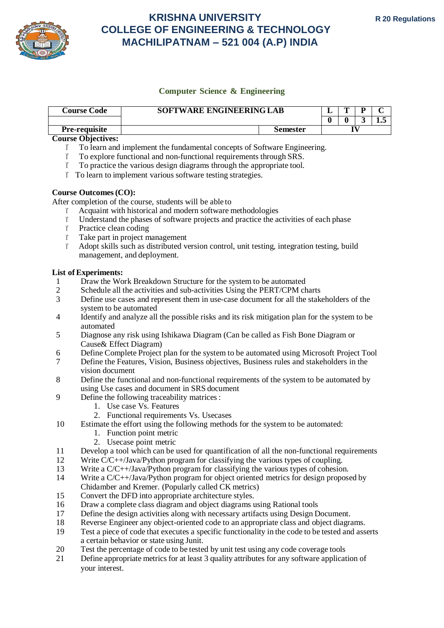

# **Computer Science & Engineering**

| <b>Course Code</b>                    | SOFTWARE ENGINEERING LAB |  | <br>m | D |   |
|---------------------------------------|--------------------------|--|-------|---|---|
|                                       |                          |  |       |   | … |
| <b>Pre-requisite</b><br>$\sim$ $\sim$ | <b>Semester</b>          |  |       |   |   |

## **Course Objectives:**

- To learn and implement the fundamental concepts of Software Engineering.
- To explore functional and non-functional requirements through SRS.
- To practice the various design diagrams through the appropriate tool.
- To learn to implement various software testing strategies.

## **Course Outcomes(CO):**

After completion of the course, students will be able to

- Acquaint with historical and modern software methodologies
- Understand the phases of software projects and practice the activities of each phase
- Practice clean coding
- Take part in project management
- Adopt skills such as distributed version control, unit testing, integration testing, build management, and deployment.

## **List of Experiments:**

- 
- 1 Draw the Work Breakdown Structure for the system to be automated<br>2 Schedule all the activities and sub-activities Using the PERT/CPM ch 2 Schedule all the activities and sub-activities Using the PERT/CPM charts<br>2 Define use cases and represent them in use-case document for all the stake
- 3 Define use cases and represent them in use-case document for all the stakeholders of the system to be automated
- 4 Identify and analyze all the possible risks and its risk mitigation plan for the system to be automated
- 5 Diagnose any risk using Ishikawa Diagram (Can be called as Fish Bone Diagram or Cause& Effect Diagram)
- 6 Define Complete Project plan for the system to be automated using Microsoft Project Tool
- 7 Define the Features, Vision, Business objectives, Business rules and stakeholders in the vision document
- 8 Define the functional and non-functional requirements of the system to be automated by using Use cases and document in SRS document
- 9 Define the following traceability matrices :
	- 1. Use case Vs. Features
	- 2. Functional requirements Vs. Usecases
- 10 Estimate the effort using the following methods for the system to be automated:
	- 1. Function point metric
	- 2. Usecase point metric
- 11 Develop a tool which can be used for quantification of all the non-functional requirements<br>12 Write  $C/C++/Java$ Python program for classifying the various types of coupling.
- 12 Write  $C/C++/Java/Python program for classifying the various types of coupling. Write a  $C/C++/Java/Python program for classifying the various types of cohesio.$$
- 13 Write a  $C/C++/Java/Python program for classifying the various types of cohesion. Write a  $C/C++/Java/Python program for object oriented metrics for design proposals.$$
- Write a  $C/C++/Java/Python$  program for object oriented metrics for design proposed by Chidamber and Kremer. (Popularly called CK metrics)
- 15 Convert the DFD into appropriate architecture styles.
- 16 Draw a complete class diagram and object diagrams using Rational tools
- 17 Define the design activities along with necessary artifacts using Design Document.
- 18 Reverse Engineer any object-oriented code to an appropriate class and object diagrams.
- 19 Test a piece of code that executes a specific functionality in the code to be tested and asserts a certain behavior or state using Junit.
- 20 Test the percentage of code to be tested by unit test using any code coverage tools
- 21 Define appropriate metrics for at least 3 quality attributes for any software application of your interest.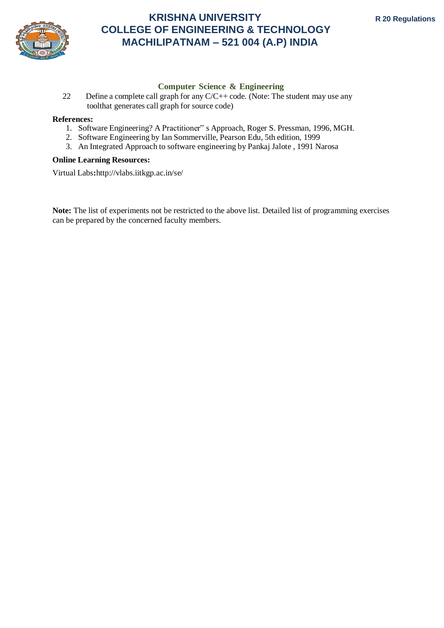

# **Computer Science & Engineering**

22 Define a complete call graph for any  $C/C++$  code. (Note: The student may use any toolthat generates call graph for source code)

## **References:**

- 1. Software Engineering? A Practitioner" s Approach, Roger S. Pressman, 1996, MGH.
- 2. Software Engineering by Ian Sommerville, Pearson Edu, 5th edition, 1999
- 3. An Integrated Approach to software engineering by Pankaj Jalote , 1991 Narosa

## **Online Learning Resources:**

Virtual Labs**:**<http://vlabs.iitkgp.ac.in/se/>

**Note:** The list of experiments not be restricted to the above list. Detailed list of programming exercises can be prepared by the concerned faculty members.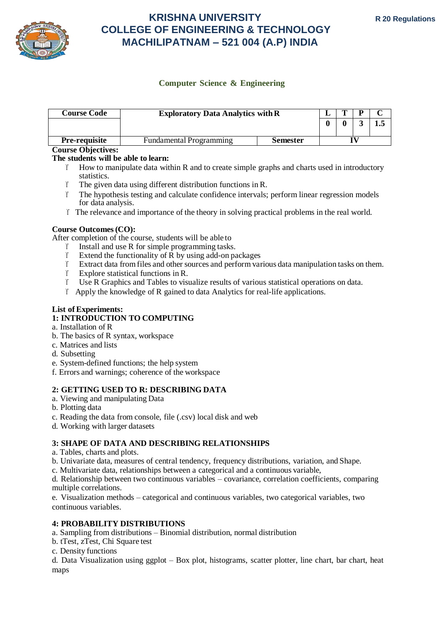

# **Computer Science & Engineering**

| <b>Course Code</b>   | <b>Exploratory Data Analytics with R</b>          |  | m | D |     |
|----------------------|---------------------------------------------------|--|---|---|-----|
|                      |                                                   |  |   |   | 1.3 |
| <b>Pre-requisite</b> | <b>Semester</b><br><b>Fundamental Programming</b> |  |   |   |     |

## **Course Objectives:**

## **The students will be able to learn:**

- $\Upsilon$  How to manipulate data within R and to create simple graphs and charts used in introductory statistics.
- $\Gamma$  The given data using different distribution functions in R.
- The hypothesis testing and calculate confidence intervals; perform linear regression models for data analysis.
- $\Upsilon$  The relevance and importance of the theory in solving practical problems in the real world.

## **Course Outcomes(CO):**

After completion of the course, students will be able to

- $\Gamma$  Install and use R for simple programming tasks.
- $\Gamma$  Extend the functionality of R by using add-on packages
- Extract data from files and other sources and perform various data manipulation tasks on them.
- Explore statistical functions in R.
- Use R Graphics and Tables to visualize results of various statistical operations on data.
- Apply the knowledge of R gained to data Analytics for real-life applications.

## **List of Experiments:**

# **1: INTRODUCTION TO COMPUTING**

- a. Installation of R
- b. The basics of R syntax, workspace
- c. Matrices and lists
- d. Subsetting
- e. System-defined functions; the help system
- f. Errors and warnings; coherence of the workspace

## **2: GETTING USED TO R: DESCRIBING DATA**

- a. Viewing and manipulating Data
- b. Plotting data
- c. Reading the data from console, file (.csv) local disk and web
- d. Working with larger datasets

# **3: SHAPE OF DATA AND DESCRIBING RELATIONSHIPS**

- a. Tables, charts and plots.
- b. Univariate data, measures of central tendency, frequency distributions, variation, and Shape.
- c. Multivariate data, relationships between a categorical and a continuous variable,

d. Relationship between two continuous variables – covariance, correlation coefficients, comparing multiple correlations.

e. Visualization methods – categorical and continuous variables, two categorical variables, two continuous variables.

## **4: PROBABILITY DISTRIBUTIONS**

a. Sampling from distributions – Binomial distribution, normal distribution

- b. tTest, zTest, Chi Square test
- c. Density functions

d. Data Visualization using ggplot – Box plot, histograms, scatter plotter, line chart, bar chart, heat maps